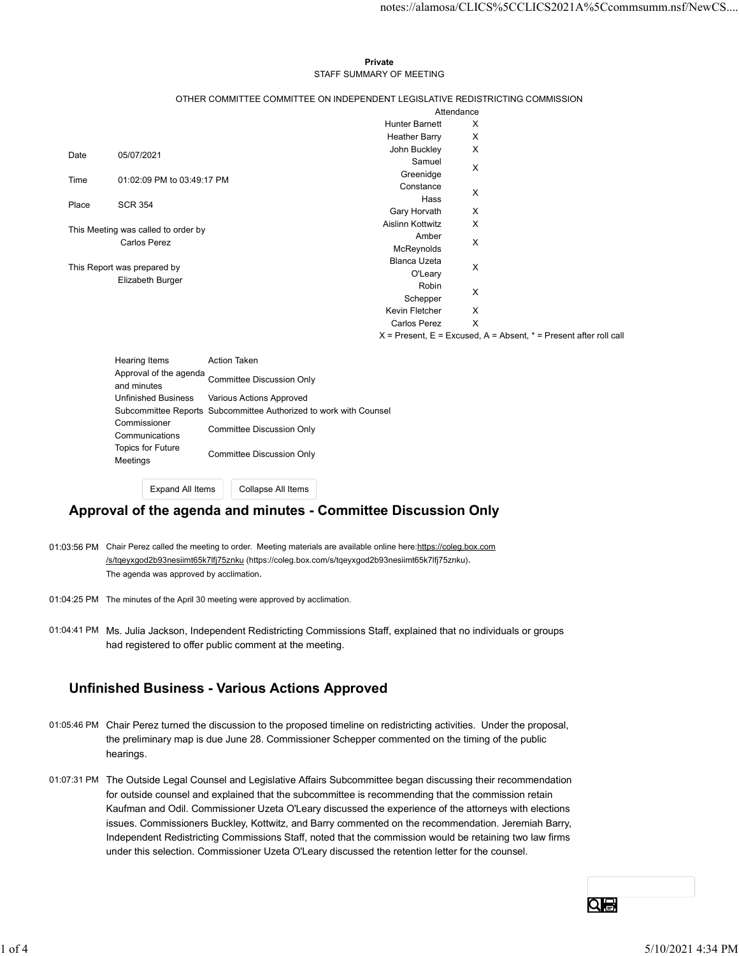#### Private **Private** and *Private* and *Private* and *Private* and *Private* and *Private* and *Private* and *Private* and *Private* and *Private* and *Private* and *Private* and *Private* and *Private* and *Private* and *Pri* STAFF SUMMARY OF MEETING

|       |                                     |                                                                   |                                                                               |                                | notes://alamosa/CLICS%5CCLICS2021A%5Ccommsumm.nsf/NewCS                   |
|-------|-------------------------------------|-------------------------------------------------------------------|-------------------------------------------------------------------------------|--------------------------------|---------------------------------------------------------------------------|
|       |                                     |                                                                   |                                                                               |                                |                                                                           |
|       |                                     |                                                                   |                                                                               |                                |                                                                           |
|       |                                     |                                                                   | Private                                                                       |                                |                                                                           |
|       |                                     |                                                                   | STAFF SUMMARY OF MEETING                                                      |                                |                                                                           |
|       |                                     |                                                                   | OTHER COMMITTEE COMMITTEE ON INDEPENDENT LEGISLATIVE REDISTRICTING COMMISSION |                                |                                                                           |
|       |                                     |                                                                   |                                                                               | Attendance                     |                                                                           |
|       |                                     |                                                                   | <b>Hunter Barnett</b>                                                         | X                              |                                                                           |
|       |                                     |                                                                   | <b>Heather Barry</b>                                                          | X                              |                                                                           |
| Date  | 05/07/2021                          |                                                                   | John Buckley<br>Samuel                                                        | X                              |                                                                           |
|       |                                     |                                                                   | Greenidge                                                                     | X                              |                                                                           |
| Time  | 01:02:09 PM to 03:49:17 PM          |                                                                   | Constance                                                                     | X                              |                                                                           |
| Place | <b>SCR 354</b>                      |                                                                   | Hass                                                                          |                                |                                                                           |
|       |                                     |                                                                   | Gary Horvath                                                                  | X                              |                                                                           |
|       | This Meeting was called to order by |                                                                   | Aislinn Kottwitz                                                              | X                              |                                                                           |
|       | <b>Carlos Perez</b>                 |                                                                   | Amber<br>McReynolds                                                           | X                              |                                                                           |
|       |                                     |                                                                   | Blanca Uzeta                                                                  |                                |                                                                           |
|       | This Report was prepared by         |                                                                   | O'Leary                                                                       | X                              |                                                                           |
|       | Elizabeth Burger                    |                                                                   | Robin                                                                         | X                              |                                                                           |
|       |                                     |                                                                   | Schepper                                                                      |                                |                                                                           |
|       |                                     |                                                                   | Kevin Fletcher<br>Carlos Perez                                                | X<br>$\boldsymbol{\mathsf{X}}$ |                                                                           |
|       |                                     |                                                                   |                                                                               |                                | $X =$ Present, $E =$ Excused, $A =$ Absent, $* =$ Present after roll call |
|       |                                     |                                                                   |                                                                               |                                |                                                                           |
|       | Hearing Items                       | Action Taken                                                      |                                                                               |                                |                                                                           |
|       | and minutes                         | Approval of the agenda<br>Committee Discussion Only               |                                                                               |                                |                                                                           |
|       | <b>Unfinished Business</b>          | Various Actions Approved                                          |                                                                               |                                |                                                                           |
|       |                                     | Subcommittee Reports Subcommittee Authorized to work with Counsel |                                                                               |                                |                                                                           |
|       | Commissioner                        | <b>Committee Discussion Only</b>                                  |                                                                               |                                |                                                                           |
|       | Communications                      |                                                                   |                                                                               |                                |                                                                           |
|       | Topics for Future<br>Meetings       | <b>Committee Discussion Only</b>                                  |                                                                               |                                |                                                                           |
|       |                                     |                                                                   |                                                                               |                                |                                                                           |

| Hearing Items              | <b>Action Taken</b>                                               |
|----------------------------|-------------------------------------------------------------------|
| Approval of the agenda     | <b>Committee Discussion Only</b>                                  |
| and minutes                |                                                                   |
| <b>Unfinished Business</b> | Various Actions Approved                                          |
|                            | Subcommittee Reports Subcommittee Authorized to work with Counsel |
| Commissioner               | Committee Discussion Only                                         |
| Communications             |                                                                   |
| <b>Topics for Future</b>   | Committee Discussion Only                                         |
| Meetings                   |                                                                   |

Expand All Items | Collapse All Items

### Approval of the agenda and minutes - Committee Discussion Only

- 01:03:56 PM Chair Perez called the meeting to order. Meeting materials are available online here:https://coleg.box.com /s/tqeyxgod2b93nesiimt65k7lfj75znku (https://coleg.box.com/s/tqeyxgod2b93nesiimt65k7lfj75znku). The agenda was approved by acclimation.
- 01:04:25 PM The minutes of the April 30 meeting were approved by acclimation.
- 01:04:41 PM Ms. Julia Jackson, Independent Redistricting Commissions Staff, explained that no individuals or groups had registered to offer public comment at the meeting.

### Unfinished Business - Various Actions Approved

- 01:05:46 PM Chair Perez turned the discussion to the proposed timeline on redistricting activities. Under the proposal, the preliminary map is due June 28. Commissioner Schepper commented on the timing of the public hearings.
- 01:07:31 PM The Outside Legal Counsel and Legislative Affairs Subcommittee began discussing their recommendation for outside counsel and explained that the subcommittee is recommending that the commission retain Kaufman and Odil. Commissioner Uzeta O'Leary discussed the experience of the attorneys with elections issues. Commissioners Buckley, Kottwitz, and Barry commented on the recommendation. Jeremiah Barry, Independent Redistricting Commissions Staff, noted that the commission would be retaining two law firms under this selection. Commissioner Uzeta O'Leary discussed the retention letter for the counsel. had registered to offer public comment at the meeting.<br> **Unfinished Business - Various Actions Approved**<br>
01.6548 PM Chair Perez turned the discussion to the proposed timeline on redistricting activities. Under the proposa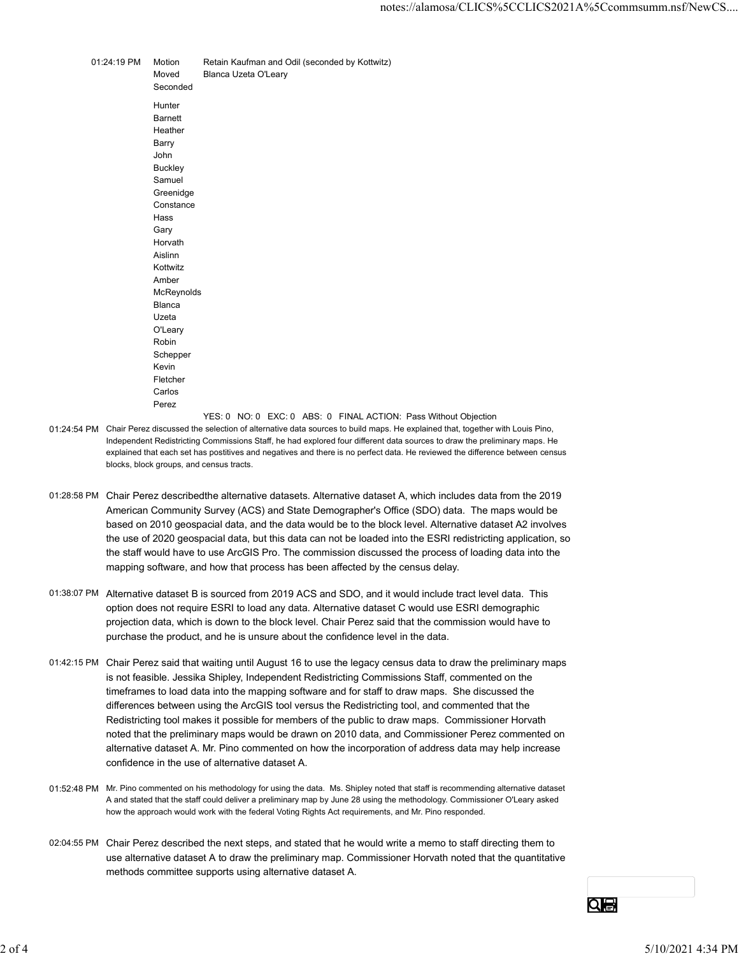|             |                             | notes://alamosa/CLICS%5CCLICS2021A%5                                   |
|-------------|-----------------------------|------------------------------------------------------------------------|
|             |                             |                                                                        |
| 01:24:19 PM | Motion<br>Moved<br>Seconded | Retain Kaufman and Odil (seconded by Kottwitz)<br>Blanca Uzeta O'Leary |
|             | Hunter<br><b>Barnett</b>    |                                                                        |
|             | Heather                     |                                                                        |
|             | Barry<br>John               |                                                                        |
|             | <b>Buckley</b>              |                                                                        |
|             | Samuel                      |                                                                        |
|             | Greenidge<br>Constance      |                                                                        |
|             | Hass                        |                                                                        |
|             | Gary                        |                                                                        |
|             | Horvath                     |                                                                        |
|             | Aislinn<br>Kottwitz         |                                                                        |
|             | Amber                       |                                                                        |
|             | McReynolds                  |                                                                        |
|             | Blanca                      |                                                                        |
|             | Uzeta                       |                                                                        |
|             | O'Leary                     |                                                                        |
|             | Robin                       |                                                                        |
|             | Schepper<br>Kevin           |                                                                        |
|             | Fletcher                    |                                                                        |
|             | Carlos                      |                                                                        |
|             | Perez                       |                                                                        |
|             |                             |                                                                        |

- 01:24:54 PM Chair Perez discussed the selection of alternative data sources to build maps. He explained that, together with Louis Pino, Independent Redistricting Commissions Staff, he had explored four different data sources to draw the preliminary maps. He explained that each set has postitives and negatives and there is no perfect data. He reviewed the difference between census blocks, block groups, and census tracts.
- 01:28:58 PM Chair Perez describedthe alternative datasets. Alternative dataset A, which includes data from the 2019 American Community Survey (ACS) and State Demographer's Office (SDO) data. The maps would be based on 2010 geospacial data, and the data would be to the block level. Alternative dataset A2 involves the use of 2020 geospacial data, but this data can not be loaded into the ESRI redistricting application, so the staff would have to use ArcGIS Pro. The commission discussed the process of loading data into the mapping software, and how that process has been affected by the census delay.
- 01:38:07 PM Alternative dataset B is sourced from 2019 ACS and SDO, and it would include tract level data. This option does not require ESRI to load any data. Alternative dataset C would use ESRI demographic projection data, which is down to the block level. Chair Perez said that the commission would have to purchase the product, and he is unsure about the confidence level in the data.
- 01:42:15 PM Chair Perez said that waiting until August 16 to use the legacy census data to draw the preliminary maps is not feasible. Jessika Shipley, Independent Redistricting Commissions Staff, commented on the timeframes to load data into the mapping software and for staff to draw maps. She discussed the differences between using the ArcGIS tool versus the Redistricting tool, and commented that the Redistricting tool makes it possible for members of the public to draw maps. Commissioner Horvath noted that the preliminary maps would be drawn on 2010 data, and Commissioner Perez commented on alternative dataset A. Mr. Pino commented on how the incorporation of address data may help increase confidence in the use of alternative dataset A. purchase the product, and he is unsure about the contidence level in the data.<br>
2014-215 PM Chair Persez said that waliting until August 16 to use the legacy constant adat to draw the preliminary maps<br>
is not feasible. Jes
	- 01:52:48 PM Mr. Pino commented on his methodology for using the data. Ms. Shipley noted that staff is recommending alternative dataset A and stated that the staff could deliver a preliminary map by June 28 using the methodology. Commissioner O'Leary asked how the approach would work with the federal Voting Rights Act requirements, and Mr. Pino responded.
	- 02:04:55 PM Chair Perez described the next steps, and stated that he would write a memo to staff directing them to use alternative dataset A to draw the preliminary map. Commissioner Horvath noted that the quantitative methods committee supports using alternative dataset A.

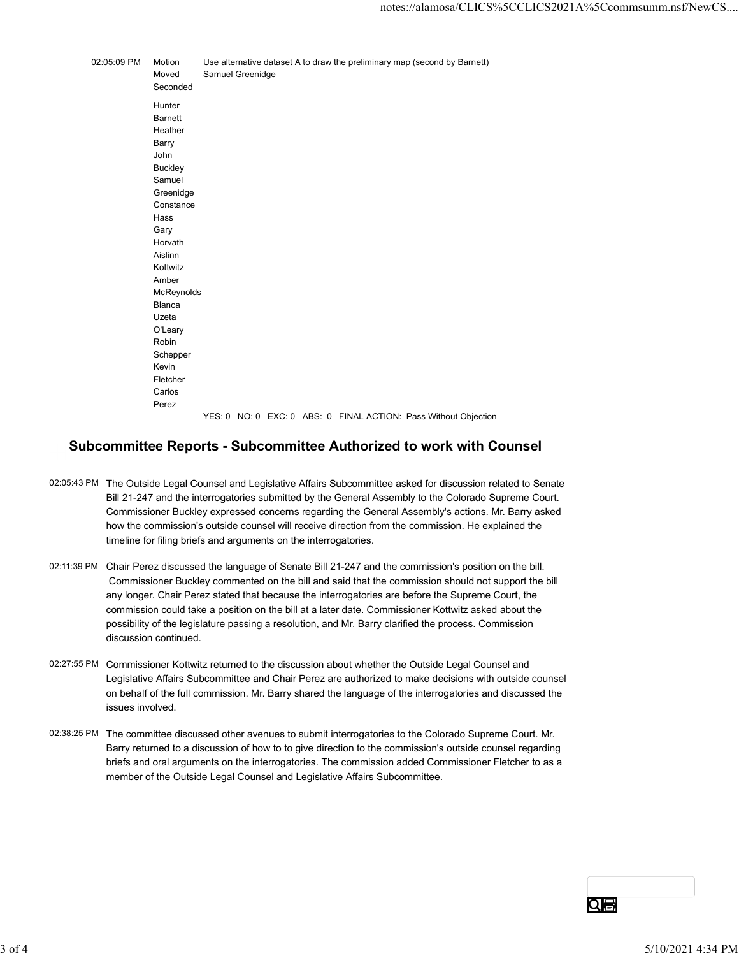|             |                                                                                                                                                                                                                                                                                | notes://alamosa/CLICS%5CCLICS2021A%5Ccc                                                       |
|-------------|--------------------------------------------------------------------------------------------------------------------------------------------------------------------------------------------------------------------------------------------------------------------------------|-----------------------------------------------------------------------------------------------|
|             |                                                                                                                                                                                                                                                                                |                                                                                               |
| 02:05:09 PM | Motion<br>Moved<br>Seconded                                                                                                                                                                                                                                                    | Use alternative dataset A to draw the preliminary map (second by Barnett)<br>Samuel Greenidge |
|             | Hunter<br><b>Barnett</b><br>Heather<br>Barry<br>John<br><b>Buckley</b><br>Samuel<br>Greenidge<br>Constance<br>Hass<br>Gary<br>Horvath<br>Aislinn<br>Kottwitz<br>Amber<br>McReynolds<br>Blanca<br>Uzeta<br>O'Leary<br>Robin<br>Schepper<br>Kevin<br>Fletcher<br>Carlos<br>Perez | YES: 0 NO: 0 EXC: 0 ABS: 0 FINAL ACTION: Pass Without Objection                               |

## Subcommittee Reports - Subcommittee Authorized to work with Counsel

- 02:05:43 PM The Outside Legal Counsel and Legislative Affairs Subcommittee asked for discussion related to Senate Bill 21-247 and the interrogatories submitted by the General Assembly to the Colorado Supreme Court. Commissioner Buckley expressed concerns regarding the General Assembly's actions. Mr. Barry asked how the commission's outside counsel will receive direction from the commission. He explained the timeline for filing briefs and arguments on the interrogatories.
- 02:11:39 PM Chair Perez discussed the language of Senate Bill 21-247 and the commission's position on the bill. Commissioner Buckley commented on the bill and said that the commission should not support the bill any longer. Chair Perez stated that because the interrogatories are before the Supreme Court, the commission could take a position on the bill at a later date. Commissioner Kottwitz asked about the possibility of the legislature passing a resolution, and Mr. Barry clarified the process. Commission discussion continued.
- 02:27:55 PM Commissioner Kottwitz returned to the discussion about whether the Outside Legal Counsel and Legislative Affairs Subcommittee and Chair Perez are authorized to make decisions with outside counsel on behalf of the full commission. Mr. Barry shared the language of the interrogatories and discussed the issues involved.
- 02:38:25 PM The committee discussed other avenues to submit interrogatories to the Colorado Supreme Court. Mr. Barry returned to a discussion of how to to give direction to the commission's outside counsel regarding briefs and oral arguments on the interrogatories. The commission added Commissioner Fletcher to as a member of the Outside Legal Counsel and Legislative Affairs Subcommittee. discussion continued.<br>
2227:55 PM Commissioner Kottwatz returned to the discussion about whether the Outside Legal Coursel and<br>
2438:25 PM Legislative Affairs Subcommittee and Chair Perez are authorized to make decisions w